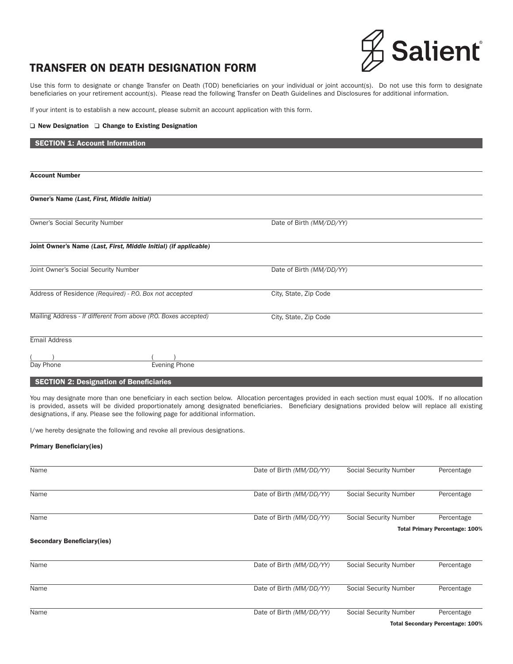

## TRANSFER ON DEATH DESIGNATION FORM

Use this form to designate or change Transfer on Death (TOD) beneficiaries on your individual or joint account(s). Do not use this form to designate beneficiaries on your retirement account(s). Please read the following Transfer on Death Guidelines and Disclosures for additional information.

If your intent is to establish a new account, please submit an account application with this form.

#### $\Box$  New Designation  $\Box$  Change to Existing Designation

# SECTION 1: Account Information Account Number Owner's Name *(Last, First, Middle Initial)*  Owner's Social Security Number Date of Birth *(MM/DD/YY)* Joint Owner's Name *(Last, First, Middle Initial) (if applicable)* Joint Owner's Social Security Number Date of Birth *(MM/DD/YY)* Address of Residence *(Required) - P.O. Box not accepted* City, State, Zip Code Mailing Address - *If different from above (P.O. Boxes accepted)* City, State, Zip Code Email Address  $($  ) ( ) Day Phone **Evening Phone**

**SECTION 2: Designation of Beneficiaries** 

You may designate more than one beneficiary in each section below. Allocation percentages provided in each section must equal 100%. If no allocation is provided, assets will be divided proportionately among designated beneficiaries. Beneficiary designations provided below will replace all existing designations, if any. Please see the following page for additional information.

I/we hereby designate the following and revoke all previous designations.

#### Primary Beneficiary(ies)

| Name                              | Date of Birth (MM/DD/YY) | Social Security Number | Percentage                            |
|-----------------------------------|--------------------------|------------------------|---------------------------------------|
| Name                              | Date of Birth (MM/DD/YY) | Social Security Number | Percentage                            |
| Name                              | Date of Birth (MM/DD/YY) | Social Security Number | Percentage                            |
|                                   |                          |                        | <b>Total Primary Percentage: 100%</b> |
| <b>Secondary Beneficiary(ies)</b> |                          |                        |                                       |
| Name                              | Date of Birth (MM/DD/YY) | Social Security Number | Percentage                            |
| Name                              | Date of Birth (MM/DD/YY) | Social Security Number | Percentage                            |
| Name                              | Date of Birth (MM/DD/YY) | Social Security Number | Percentage                            |
|                                   |                          |                        | Tatal Canandam: Devenutors: 4000/     |